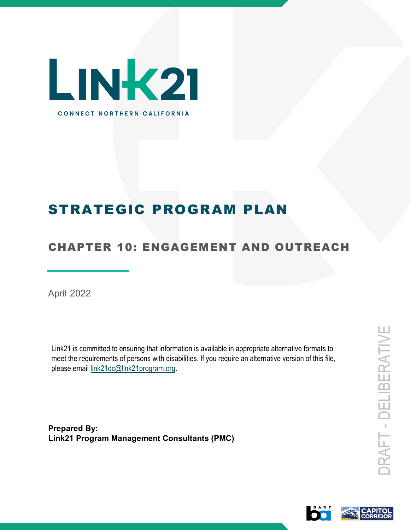

# STRATEGIC PROGRAM PLAN

## CHAPTER 10: ENGAGEMENT AND OUTREACH

April 2022

Link21 is committed to ensuring that information is available in appropriate alternative formats to meet the requirements of persons with disabilities. If you require an alternative version of this file, please email link21dc@link21program.org.

**Prepared By: Link21 Program Management Consultants (PMC)**

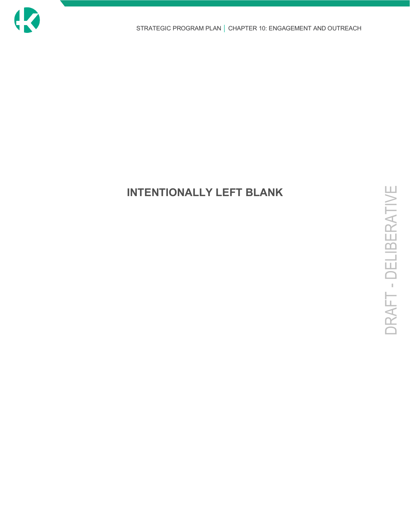

## **INTENTIONALLY LEFT BLANK**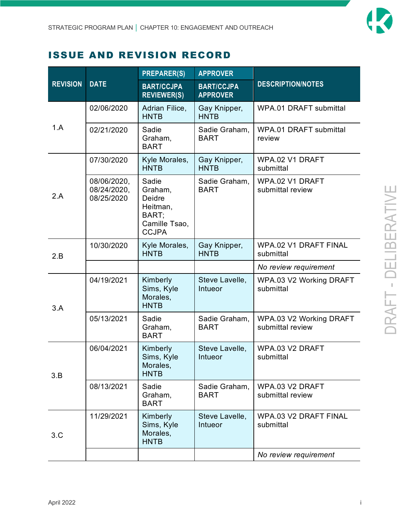

### ISSUE AND REVISION RECORD

| <b>REVISION</b> | <b>DATE</b>                              | <b>PREPARER(S)</b>                                                                      | <b>APPROVER</b>                      |                                             |
|-----------------|------------------------------------------|-----------------------------------------------------------------------------------------|--------------------------------------|---------------------------------------------|
|                 |                                          | <b>BART/CCJPA</b><br><b>REVIEWER(S)</b>                                                 | <b>BART/CCJPA</b><br><b>APPROVER</b> | <b>DESCRIPTION/NOTES</b>                    |
| 1.A             | 02/06/2020                               | Adrian Filice,<br><b>HNTB</b>                                                           | Gay Knipper,<br><b>HNTB</b>          | <b>WPA.01 DRAFT submittal</b>               |
|                 | 02/21/2020                               | Sadie<br>Graham,<br><b>BART</b>                                                         | Sadie Graham,<br><b>BART</b>         | WPA.01 DRAFT submittal<br>review            |
|                 | 07/30/2020                               | Kyle Morales,<br><b>HNTB</b>                                                            | Gay Knipper,<br><b>HNTB</b>          | WPA.02 V1 DRAFT<br>submittal                |
| 2.A             | 08/06/2020,<br>08/24/2020,<br>08/25/2020 | Sadie<br>Graham,<br><b>Deidre</b><br>Heitman,<br>BART;<br>Camille Tsao,<br><b>CCJPA</b> | Sadie Graham,<br><b>BART</b>         | WPA.02 V1 DRAFT<br>submittal review         |
| 2.B             | 10/30/2020                               | Kyle Morales,<br><b>HNTB</b>                                                            | Gay Knipper,<br><b>HNTB</b>          | WPA.02 V1 DRAFT FINAL<br>submittal          |
|                 |                                          |                                                                                         |                                      | No review requirement                       |
| 3.A             | 04/19/2021                               | Kimberly<br>Sims, Kyle<br>Morales,<br><b>HNTB</b>                                       | Steve Lavelle,<br><b>Intueor</b>     | WPA.03 V2 Working DRAFT<br>submittal        |
|                 | 05/13/2021                               | Sadie<br>Graham,<br><b>BART</b>                                                         | Sadie Graham,<br><b>BART</b>         | WPA.03 V2 Working DRAFT<br>submittal review |
| 3.B             | 06/04/2021                               | Kimberly<br>Sims, Kyle<br>Morales,<br><b>HNTB</b>                                       | Steve Lavelle,<br><b>Intueor</b>     | WPA.03 V2 DRAFT<br>submittal                |
|                 | 08/13/2021                               | Sadie<br>Graham,<br><b>BART</b>                                                         | Sadie Graham,<br><b>BART</b>         | WPA.03 V2 DRAFT<br>submittal review         |
| 3.C             | 11/29/2021                               | Kimberly<br>Sims, Kyle<br>Morales,<br><b>HNTB</b>                                       | Steve Lavelle,<br>Intueor            | WPA.03 V2 DRAFT FINAL<br>submittal          |
|                 |                                          |                                                                                         |                                      | No review requirement                       |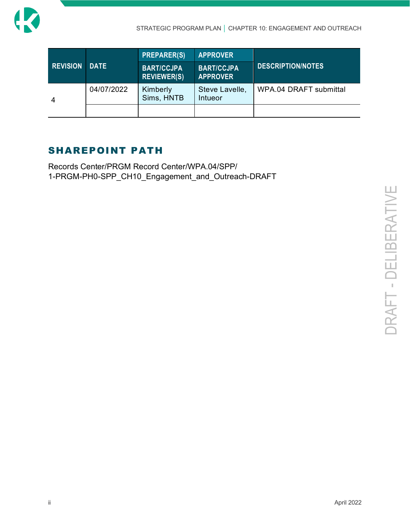

|                 |             | <b>PREPARER(S)</b>                      | <b>APPROVER</b>                      |                          |
|-----------------|-------------|-----------------------------------------|--------------------------------------|--------------------------|
| <b>REVISION</b> | <b>DATE</b> | <b>BART/CCJPA</b><br><b>REVIEWER(S)</b> | <b>BART/CCJPA</b><br><b>APPROVER</b> | <b>DESCRIPTION/NOTES</b> |
|                 | 04/07/2022  | Kimberly<br>Sims, HNTB                  | Steve Lavelle,<br>Intueor            | WPA.04 DRAFT submittal   |
|                 |             |                                         |                                      |                          |

### SHAREPOINT PATH

Records Center/PRGM Record Center/WPA.04/SPP/ 1-PRGM-PH0-SPP\_CH10\_Engagement\_and\_Outreach-DRAFT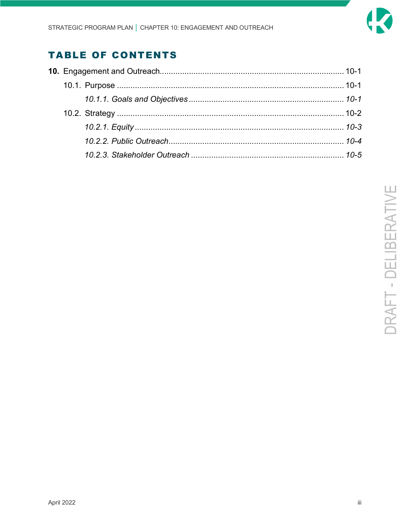

## **TABLE OF CONTENTS**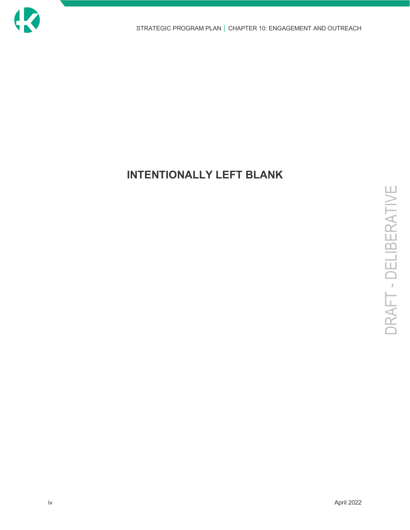

## **INTENTIONALLY LEFT BLANK**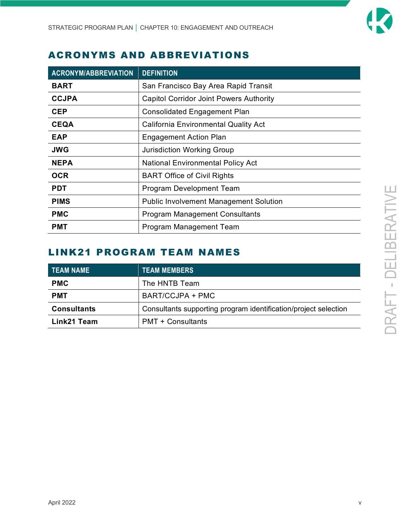

### ACRONYMS AND ABBREVIATIONS

| <b>ACRONYM/ABBREVIATION</b> | <b>DEFINITION</b>                              |
|-----------------------------|------------------------------------------------|
| <b>BART</b>                 | San Francisco Bay Area Rapid Transit           |
| <b>CCJPA</b>                | <b>Capitol Corridor Joint Powers Authority</b> |
| <b>CEP</b>                  | <b>Consolidated Engagement Plan</b>            |
| <b>CEQA</b>                 | <b>California Environmental Quality Act</b>    |
| <b>EAP</b>                  | <b>Engagement Action Plan</b>                  |
| <b>JWG</b>                  | <b>Jurisdiction Working Group</b>              |
| <b>NEPA</b>                 | <b>National Environmental Policy Act</b>       |
| <b>OCR</b>                  | <b>BART Office of Civil Rights</b>             |
| <b>PDT</b>                  | Program Development Team                       |
| <b>PIMS</b>                 | <b>Public Involvement Management Solution</b>  |
| <b>PMC</b>                  | <b>Program Management Consultants</b>          |
| <b>PMT</b>                  | Program Management Team                        |

## LINK21 PROGRAM TEAM NAMES

| <b>TEAM NAME</b>   | <b>TEAM MEMBERS</b>                                             |  |
|--------------------|-----------------------------------------------------------------|--|
| <b>PMC</b>         | The HNTB Team                                                   |  |
| <b>PMT</b>         | BART/CCJPA + PMC                                                |  |
| <b>Consultants</b> | Consultants supporting program identification/project selection |  |
| Link21 Team        | <b>PMT + Consultants</b>                                        |  |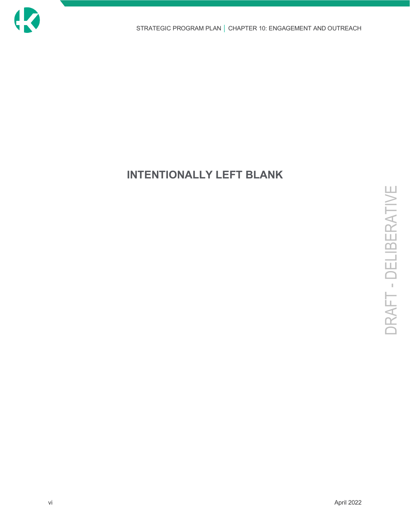

## **INTENTIONALLY LEFT BLANK**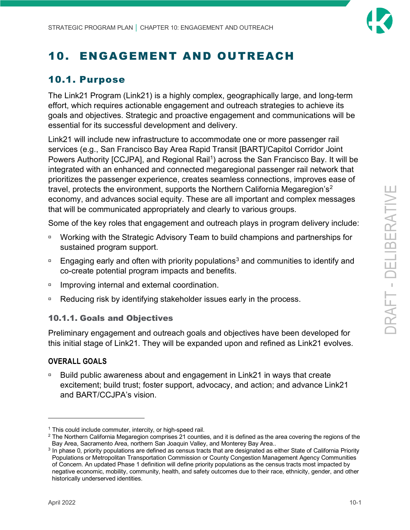

## <span id="page-8-0"></span>10. ENGAGEMENT AND OUTREACH

### <span id="page-8-1"></span>10.1. Purpose

The Link21 Program (Link21) is a highly complex, geographically large, and long-term effort, which requires actionable engagement and outreach strategies to achieve its goals and objectives. Strategic and proactive engagement and communications will be essential for its successful development and delivery.

Link21 will include new infrastructure to accommodate one or more passenger rail services (e.g., San Francisco Bay Area Rapid Transit [BART]/Capitol Corridor Joint Powers Authority [CCJPA], and Regional Rail<sup>[1](#page-8-3)</sup>) across the San Francisco Bay. It will be integrated with an enhanced and connected megaregional passenger rail network that prioritizes the passenger experience, creates seamless connections, improves ease of travel, protects the environment, supports the Northern California Megaregion's[2](#page-8-4) economy, and advances social equity. These are all important and complex messages that will be communicated appropriately and clearly to various groups.

Some of the key roles that engagement and outreach plays in program delivery include:

- □ Working with the Strategic Advisory Team to build champions and partnerships for sustained program support.
- **Engaging early and often with priority populations<sup>[3](#page-8-5)</sup> and communities to identify and** co-create potential program impacts and benefits.
- □ Improving internal and external coordination.
- Reducing risk by identifying stakeholder issues early in the process.

#### <span id="page-8-2"></span>10.1.1. Goals and Objectives

Preliminary engagement and outreach goals and objectives have been developed for this initial stage of Link21. They will be expanded upon and refined as Link21 evolves.

#### **OVERALL GOALS**

 Build public awareness about and engagement in Link21 in ways that create excitement; build trust; foster support, advocacy, and action; and advance Link21 and BART/CCJPA's vision.

<span id="page-8-3"></span> $1$  This could include commuter, intercity, or high-speed rail.

<span id="page-8-4"></span><sup>&</sup>lt;sup>2</sup> The Northern California Megaregion comprises 21 counties, and it is defined as the area covering the regions of the Bay Area, Sacramento Area, northern San Joaquin Valley, and Monterey Bay Area..

<span id="page-8-5"></span> $3$  In phase 0, priority populations are defined as census tracts that are designated as either State of California Priority Populations or Metropolitan Transportation Commission or County Congestion Management Agency Communities of Concern. An updated Phase 1 definition will define priority populations as the census tracts most impacted by negative economic, mobility, community, health, and safety outcomes due to their race, ethnicity, gender, and other historically underserved identities.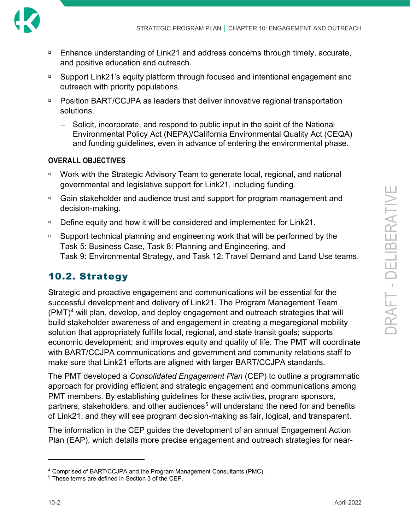

- □ Enhance understanding of Link21 and address concerns through timely, accurate, and positive education and outreach.
- □ Support Link21's equity platform through focused and intentional engagement and outreach with priority populations.
- □ Position BART/CCJPA as leaders that deliver innovative regional transportation solutions.
	- ‒ Solicit, incorporate, and respond to public input in the spirit of the National Environmental Policy Act (NEPA)/California Environmental Quality Act (CEQA) and funding guidelines, even in advance of entering the environmental phase.

#### **OVERALL OBJECTIVES**

- □ Work with the Strategic Advisory Team to generate local, regional, and national governmental and legislative support for Link21, including funding.
- □ Gain stakeholder and audience trust and support for program management and decision-making.
- □ Define equity and how it will be considered and implemented for Link21.
- □ Support technical planning and engineering work that will be performed by the Task 5: Business Case, Task 8: Planning and Engineering, and Task 9: Environmental Strategy, and Task 12: Travel Demand and Land Use teams.

### <span id="page-9-0"></span>10.2. Strategy

Strategic and proactive engagement and communications will be essential for the successful development and delivery of Link21. The Program Management Team (PMT)[4](#page-9-1) will plan, develop, and deploy engagement and outreach strategies that will build stakeholder awareness of and engagement in creating a megaregional mobility solution that appropriately fulfills local, regional, and state transit goals; supports economic development; and improves equity and quality of life. The PMT will coordinate with BART/CCJPA communications and government and community relations staff to make sure that Link21 efforts are aligned with larger BART/CCJPA standards.

The PMT developed a *Consolidated Engagement Plan* (CEP) to outline a programmatic approach for providing efficient and strategic engagement and communications among PMT members. By establishing guidelines for these activities, program sponsors, partners, stakeholders, and other audiences<sup>[5](#page-9-2)</sup> will understand the need for and benefits of Link21, and they will see program decision-making as fair, logical, and transparent.

The information in the CEP guides the development of an annual Engagement Action Plan (EAP), which details more precise engagement and outreach strategies for near-

<span id="page-9-2"></span><span id="page-9-1"></span><sup>4</sup> Comprised of BART/CCJPA and the Program Management Consultants (PMC). 5 These terms are defined in Section 3 of the CEP.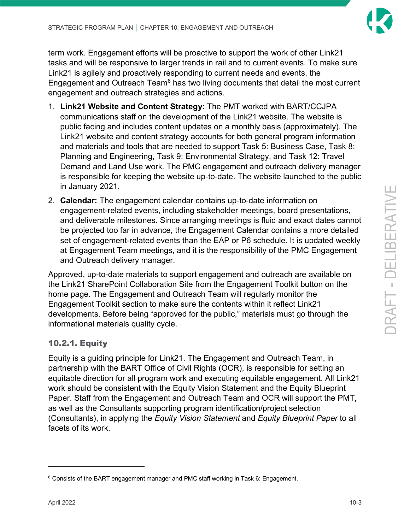

term work. Engagement efforts will be proactive to support the work of other Link21 tasks and will be responsive to larger trends in rail and to current events. To make sure Link21 is agilely and proactively responding to current needs and events, the Engagement and Outreach Team<sup>[6](#page-10-1)</sup> has two living documents that detail the most current engagement and outreach strategies and actions.

- 1. **Link21 [Website and Content Strategy:](https://tbaynext.sharepoint.com/:w:/g/NTRCCollaboration/OUTR/EeKhkasf5KRGh20U_0ztH44B7QGjmDeK86-AwTUj62HV-Q?e=XR0qpA)** The PMT worked with BART/CCJPA communications staff on the development of the Link21 website. The website is public facing and includes content updates on a monthly basis (approximately). The Link21 website and content strategy accounts for both general program information and materials and tools that are needed to support Task 5: Business Case, Task 8: Planning and Engineering, Task 9: Environmental Strategy, and Task 12: Travel Demand and Land Use work. The PMC engagement and outreach delivery manager is responsible for keeping the website up-to-date. The website launched to the public in January 2021.
- 2. **[Calendar:](https://tbaynext.sharepoint.com/NTRCCollaboration/OUTR/Lists/EngagementOutreach/calendar.aspx)** The engagement calendar contains up-to-date information on engagement-related events, including stakeholder meetings, board presentations, and deliverable milestones. Since arranging meetings is fluid and exact dates cannot be projected too far in advance, the Engagement Calendar contains a more detailed set of engagement-related events than the EAP or P6 schedule. It is updated weekly at Engagement Team meetings, and it is the responsibility of the PMC Engagement and Outreach delivery manager.

Approved, up-to-date materials to support engagement and outreach are available on the Link21 SharePoint Collaboration Site from the Engagement Toolkit button on the home page. The Engagement and Outreach Team will regularly monitor the Engagement Toolkit section to make sure the contents within it reflect Link21 developments. Before being "approved for the public," materials must go through the informational materials quality cycle.

### <span id="page-10-0"></span>10.2.1. Equity

Equity is a guiding principle for Link21. The Engagement and Outreach Team, in partnership with the BART Office of Civil Rights (OCR), is responsible for setting an equitable direction for all program work and executing equitable engagement. All Link21 work should be consistent with the Equity Vision Statement and the Equity Blueprint Paper. Staff from the Engagement and Outreach Team and OCR will support the PMT, as well as the Consultants supporting program identification/project selection (Consultants), in applying the *Equity Vision Statement* and *Equity Blueprint Paper* to all facets of its work.

<span id="page-10-1"></span><sup>6</sup> Consists of the BART engagement manager and PMC staff working in Task 6: Engagement.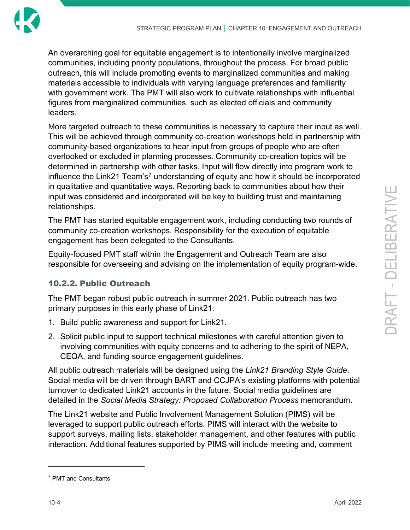

An overarching goal for equitable engagement is to intentionally involve marginalized communities, including priority populations, throughout the process. For broad public outreach, this will include promoting events to marginalized communities and making materials accessible to individuals with varying language preferences and familiarity with government work. The PMT will also work to cultivate relationships with influential figures from marginalized communities, such as elected officials and community leaders.

More targeted outreach to these communities is necessary to capture their input as well. This will be achieved through community co-creation workshops held in partnership with community-based organizations to hear input from groups of people who are often overlooked or excluded in planning processes. Community co-creation topics will be determined in partnership with other tasks. Input will flow directly into program work to influence the Link21 Team's<sup>[7](#page-11-1)</sup> understanding of equity and how it should be incorporated in qualitative and quantitative ways. Reporting back to communities about how their input was considered and incorporated will be key to building trust and maintaining relationships.

The PMT has started equitable engagement work, including conducting two rounds of community co-creation workshops. Responsibility for the execution of equitable engagement has been delegated to the Consultants.

Equity-focused PMT staff within the Engagement and Outreach Team are also responsible for overseeing and advising on the implementation of equity program-wide.

### <span id="page-11-0"></span>10.2.2. Public Outreach

The PMT began robust public outreach in summer 2021. Public outreach has two primary purposes in this early phase of Link21:

- 1. Build public awareness and support for Link21.
- 2. Solicit public input to support technical milestones with careful attention given to involving communities with equity concerns and to adhering to the spirit of NEPA, CEQA, and funding source engagement guidelines.

All public outreach materials will be designed using the *Link21 Branding Style Guide*. Social media will be driven through BART and CCJPA's existing platforms with potential turnover to dedicated Link21 accounts in the future. Social media guidelines are detailed in the *Social Media Strategy: Proposed Collaboration Process* memorandum.

The Link21 website and Public Involvement Management Solution (PIMS) will be leveraged to support public outreach efforts. PIMS will interact with the website to support surveys, mailing lists, stakeholder management, and other features with public interaction. Additional features supported by PIMS will include meeting and, comment

DRAFT - DELI BERATIVE

<span id="page-11-1"></span><sup>7</sup> PMT and Consultants